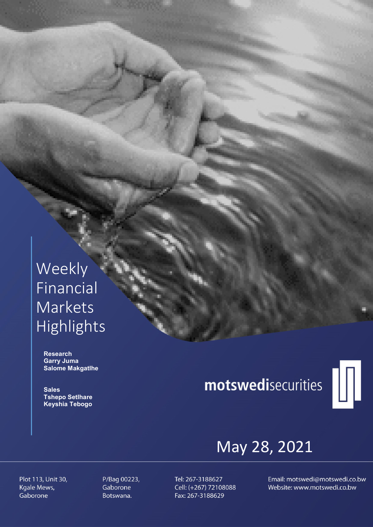## Weekly Financial Markets Highlights

 Research Garry Juma Salome Makgatlhe

**Sales**  Tshepo Setlhare Keyshia Tebogo

# motswedisecurities



## May 28, 2021

Plot 113, Unit 30, Kgale Mews, Gaborone

P/Bag 00223, Gaborone Botswana.

Tel: 267-3188627 Cell: (+267) 72108088 Fax: 267-3188629

Email: motswedi@motswedi.co.bw Website: www.motswedi.co.bw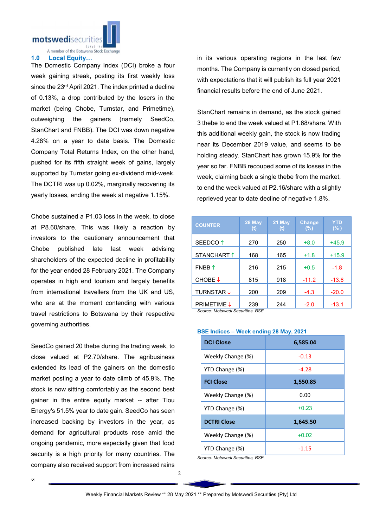

A member of the Botswana Stock Exchange

#### 1.0 Local Equity…

The Domestic Company Index (DCI) broke a four week gaining streak, posting its first weekly loss since the 23<sup>rd</sup> April 2021. The index printed a decline of 0.13%, a drop contributed by the losers in the market (being Chobe, Turnstar, and Primetime), outweighing the gainers (namely SeedCo, StanChart and FNBB). The DCI was down negative 4.28% on a year to date basis. The Domestic Company Total Returns Index, on the other hand, pushed for its fifth straight week of gains, largely supported by Turnstar going ex-dividend mid-week. The DCTRI was up 0.02%, marginally recovering its yearly losses, ending the week at negative 1.15%.

Chobe sustained a P1.03 loss in the week, to close at P8.60/share. This was likely a reaction by investors to the cautionary announcement that Chobe published late last week advising shareholders of the expected decline in profitability for the year ended 28 February 2021. The Company operates in high end tourism and largely benefits from international travellers from the UK and US, who are at the moment contending with various travel restrictions to Botswana by their respective governing authorities.

SeedCo gained 20 thebe during the trading week, to close valued at P2.70/share. The agribusiness extended its lead of the gainers on the domestic market posting a year to date climb of 45.9%. The stock is now sitting comfortably as the second best gainer in the entire equity market -- after Tlou Energy's 51.5% year to date gain. SeedCo has seen increased backing by investors in the year, as demand for agricultural products rose amid the ongoing pandemic, more especially given that food security is a high priority for many countries. The company also received support from increased rains

z

in its various operating regions in the last few months. The Company is currently on closed period, with expectations that it will publish its full year 2021 financial results before the end of June 2021.

StanChart remains in demand, as the stock gained 3 thebe to end the week valued at P1.68/share. With this additional weekly gain, the stock is now trading near its December 2019 value, and seems to be holding steady. StanChart has grown 15.9% for the year so far. FNBB recouped some of its losses in the week, claiming back a single thebe from the market, to end the week valued at P2.16/share with a slightly reprieved year to date decline of negative 1.8%.

| <b>COUNTER</b>                   | 28 May | 21 May<br>(t) | <b>Change</b><br>(%) | <b>YTD</b><br>(% ) |
|----------------------------------|--------|---------------|----------------------|--------------------|
| SEEDCO <sup>1</sup>              | 270    | 250           | $+8.0$               | $+45.9$            |
| STANCHART 1                      | 168    | 165           | $+1.8$               | $+15.9$            |
| $FNBB$ <sup>↑</sup>              | 216    | 215           | $+0.5$               | $-1.8$             |
| CHOBE↓                           | 815    | 918           | $-11.2$              | $-13.6$            |
| <b>TURNSTAR ↓</b>                | 200    | 209           | $-4.3$               | $-20.0$            |
| <b>PRIMETIME ↓</b>               | 239    | 244           | $-2.0$               | $-13.1$            |
| Source: Motswedi Securities, BSE |        |               |                      |                    |

*Source: Motswedi Securities, BSE* 

| <b>DCI Close</b>   | 6,585.04 |  |  |
|--------------------|----------|--|--|
| Weekly Change (%)  | $-0.13$  |  |  |
| YTD Change (%)     | $-4.28$  |  |  |
| <b>FCI Close</b>   | 1,550.85 |  |  |
| Weekly Change (%)  | 0.00     |  |  |
| YTD Change (%)     | $+0.23$  |  |  |
| <b>DCTRI Close</b> | 1,645.50 |  |  |
| Weekly Change (%)  | $+0.02$  |  |  |
| YTD Change (%)     | $-1.15$  |  |  |

### BSE Indices – Week ending 28 May, 2021

*Source: Motswedi Securities, BSE*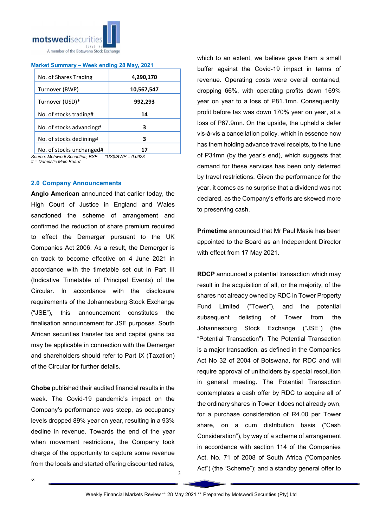

#### Market Summary – Week ending 28 May, 2021

| No. of Shares Trading    | 4,290,170  |  |
|--------------------------|------------|--|
| Turnover (BWP)           | 10,567,547 |  |
| Turnover (USD)*          | 992,293    |  |
| No. of stocks trading#   | 14         |  |
| No. of stocks advancing# | з          |  |
| No. of stocks declining# | з          |  |
| No. of stocks unchanged# |            |  |

*Source: Motswedi Securities, BSE \*US\$/BWP = 0.0923 # = Domestic Main Board*

#### 2.0 Company Announcements

Anglo American announced that earlier today, the High Court of Justice in England and Wales sanctioned the scheme of arrangement and confirmed the reduction of share premium required to effect the Demerger pursuant to the UK Companies Act 2006. As a result, the Demerger is on track to become effective on 4 June 2021 in accordance with the timetable set out in Part III (Indicative Timetable of Principal Events) of the Circular. In accordance with the disclosure requirements of the Johannesburg Stock Exchange ("JSE"), this announcement constitutes the finalisation announcement for JSE purposes. South African securities transfer tax and capital gains tax may be applicable in connection with the Demerger and shareholders should refer to Part IX (Taxation) of the Circular for further details.

Chobe published their audited financial results in the week. The Covid-19 pandemic's impact on the Company's performance was steep, as occupancy levels dropped 89% year on year, resulting in a 93% decline in revenue. Towards the end of the year when movement restrictions, the Company took charge of the opportunity to capture some revenue from the locals and started offering discounted rates,

which to an extent, we believe gave them a small buffer against the Covid-19 impact in terms of revenue. Operating costs were overall contained, dropping 66%, with operating profits down 169% year on year to a loss of P81.1mn. Consequently, profit before tax was down 170% year on year, at a loss of P67.9mn. On the upside, the upheld a defer vis-à-vis a cancellation policy, which in essence now has them holding advance travel receipts, to the tune of P34mn (by the year's end), which suggests that demand for these services has been only deterred by travel restrictions. Given the performance for the year, it comes as no surprise that a dividend was not declared, as the Company's efforts are skewed more to preserving cash.

Primetime announced that Mr Paul Masie has been appointed to the Board as an Independent Director with effect from 17 May 2021.

RDCP announced a potential transaction which may result in the acquisition of all, or the majority, of the shares not already owned by RDC in Tower Property Fund Limited ("Tower"), and the potential subsequent delisting of Tower from the Johannesburg Stock Exchange ("JSE") (the "Potential Transaction"). The Potential Transaction is a major transaction, as defined in the Companies Act No 32 of 2004 of Botswana, for RDC and will require approval of unitholders by special resolution in general meeting. The Potential Transaction contemplates a cash offer by RDC to acquire all of the ordinary shares in Tower it does not already own, for a purchase consideration of R4.00 per Tower share, on a cum distribution basis ("Cash Consideration"), by way of a scheme of arrangement in accordance with section 114 of the Companies Act, No. 71 of 2008 of South Africa ("Companies Act") (the "Scheme"); and a standby general offer to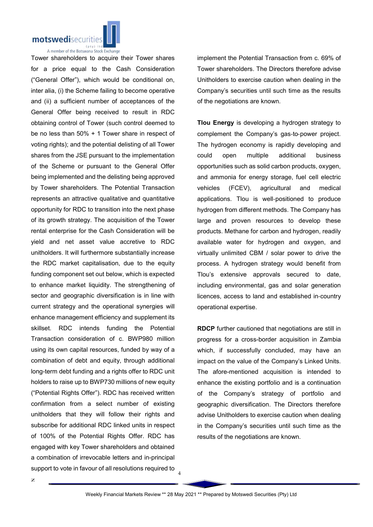

support to vote in favour of all resolutions required to  $\frac{4}{3}$ Tower shareholders to acquire their Tower shares for a price equal to the Cash Consideration ("General Offer"), which would be conditional on, inter alia, (i) the Scheme failing to become operative and (ii) a sufficient number of acceptances of the General Offer being received to result in RDC obtaining control of Tower (such control deemed to be no less than 50% + 1 Tower share in respect of voting rights); and the potential delisting of all Tower shares from the JSE pursuant to the implementation of the Scheme or pursuant to the General Offer being implemented and the delisting being approved by Tower shareholders. The Potential Transaction represents an attractive qualitative and quantitative opportunity for RDC to transition into the next phase of its growth strategy. The acquisition of the Tower rental enterprise for the Cash Consideration will be yield and net asset value accretive to RDC unitholders. It will furthermore substantially increase the RDC market capitalisation, due to the equity funding component set out below, which is expected to enhance market liquidity. The strengthening of sector and geographic diversification is in line with current strategy and the operational synergies will enhance management efficiency and supplement its skillset. RDC intends funding the Potential Transaction consideration of c. BWP980 million using its own capital resources, funded by way of a combination of debt and equity, through additional long-term debt funding and a rights offer to RDC unit holders to raise up to BWP730 millions of new equity ("Potential Rights Offer"). RDC has received written confirmation from a select number of existing unitholders that they will follow their rights and subscribe for additional RDC linked units in respect of 100% of the Potential Rights Offer. RDC has engaged with key Tower shareholders and obtained a combination of irrevocable letters and in-principal

implement the Potential Transaction from c. 69% of Tower shareholders. The Directors therefore advise Unitholders to exercise caution when dealing in the Company's securities until such time as the results of the negotiations are known.

Tlou Energy is developing a hydrogen strategy to complement the Company's gas‐to‐power project. The hydrogen economy is rapidly developing and could open multiple additional business opportunities such as solid carbon products, oxygen, and ammonia for energy storage, fuel cell electric vehicles (FCEV), agricultural and medical applications. Tlou is well‐positioned to produce hydrogen from different methods. The Company has large and proven resources to develop these products. Methane for carbon and hydrogen, readily available water for hydrogen and oxygen, and virtually unlimited CBM / solar power to drive the process. A hydrogen strategy would benefit from Tlou's extensive approvals secured to date, including environmental, gas and solar generation licences, access to land and established in‐country operational expertise.

RDCP further cautioned that negotiations are still in progress for a cross-border acquisition in Zambia which, if successfully concluded, may have an impact on the value of the Company's Linked Units. The afore-mentioned acquisition is intended to enhance the existing portfolio and is a continuation of the Company's strategy of portfolio and geographic diversification. The Directors therefore advise Unitholders to exercise caution when dealing in the Company's securities until such time as the results of the negotiations are known.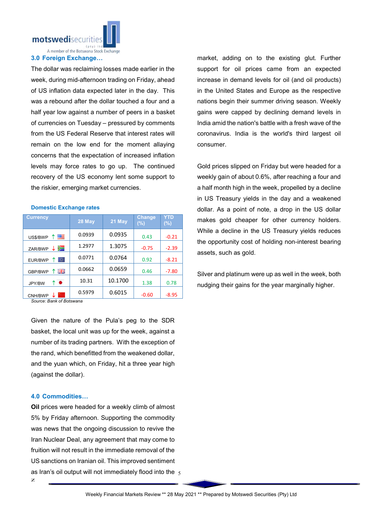motswedisecuriti

A member of the Botswana Stock Exchange

#### 3.0 Foreign Exchange…

The dollar was reclaiming losses made earlier in the week, during mid-afternoon trading on Friday, ahead of US inflation data expected later in the day. This was a rebound after the dollar touched a four and a half year low against a number of peers in a basket of currencies on Tuesday – pressured by comments from the US Federal Reserve that interest rates will remain on the low end for the moment allaying concerns that the expectation of increased inflation levels may force rates to go up. The continued recovery of the US economy lent some support to the riskier, emerging market currencies.

| <b>Currency</b> | 28 May | 21 May  | Change<br>(%) | YTD<br>$(\%)$ |
|-----------------|--------|---------|---------------|---------------|
| 四<br>US\$/BWP   | 0.0939 | 0.0935  | 0.43          | $-0.21$       |
| ⋝⊒<br>ZAR/BWP   | 1.2977 | 1.3075  | $-0.75$       | $-2.39$       |
| ⊙<br>EUR/BWP    | 0.0771 | 0.0764  | 0.92          | $-8.21$       |
| 즭푽<br>GBP/BWP   | 0.0662 | 0.0659  | 0.46          | $-7.80$       |
| ↑●<br>JPY/BW    | 10.31  | 10.1700 | 1.38          | 0.78          |
| CNH/BWP         | 0.5979 | 0.6015  | $-0.60$       | $-8.95$       |

Domestic Exchange rates

*Source: Bank of Botswana*

Given the nature of the Pula's peg to the SDR basket, the local unit was up for the week, against a number of its trading partners. With the exception of the rand, which benefitted from the weakened dollar, and the yuan which, on Friday, hit a three year high (against the dollar).

#### 4.0 Commodities…

z as Iran's oil output will not immediately flood into the  $\,$   $_{5}$ Oil prices were headed for a weekly climb of almost 5% by Friday afternoon. Supporting the commodity was news that the ongoing discussion to revive the Iran Nuclear Deal, any agreement that may come to fruition will not result in the immediate removal of the US sanctions on Iranian oil. This improved sentiment

market, adding on to the existing glut. Further support for oil prices came from an expected increase in demand levels for oil (and oil products) in the United States and Europe as the respective nations begin their summer driving season. Weekly gains were capped by declining demand levels in India amid the nation's battle with a fresh wave of the coronavirus. India is the world's third largest oil consumer.

Gold prices slipped on Friday but were headed for a weekly gain of about 0.6%, after reaching a four and a half month high in the week, propelled by a decline in US Treasury yields in the day and a weakened dollar. As a point of note, a drop in the US dollar makes gold cheaper for other currency holders. While a decline in the US Treasury yields reduces the opportunity cost of holding non-interest bearing assets, such as gold.

Silver and platinum were up as well in the week, both nudging their gains for the year marginally higher.